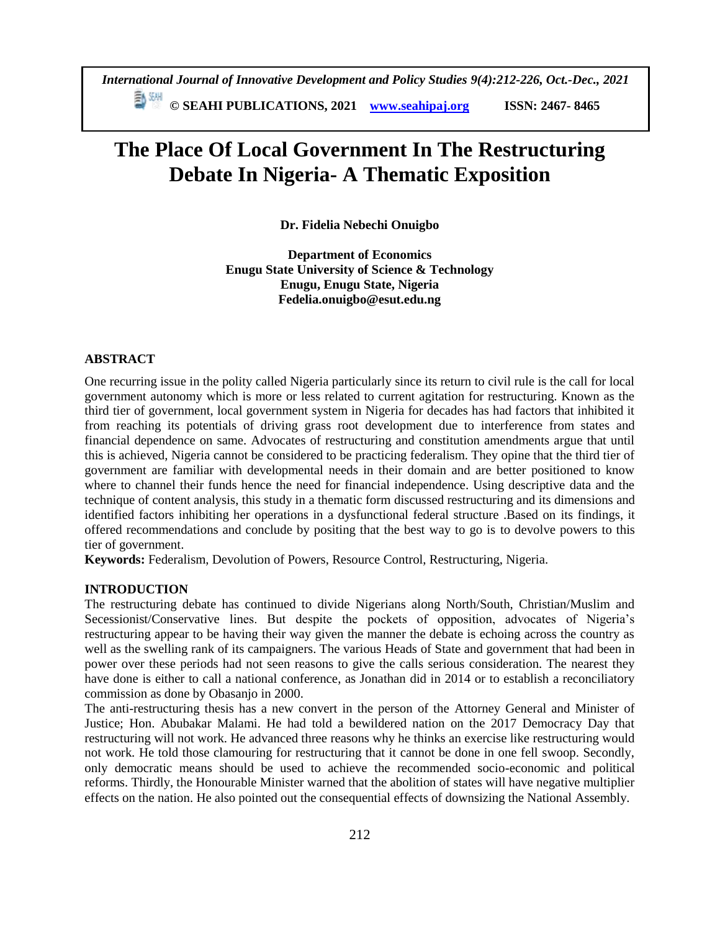*International Journal of Innovative Development and Policy Studies 9(4):212-226, Oct.-Dec., 2021* **© SEAHI PUBLICATIONS, 2021 [www.seahipaj.org](http://www.seahipaj.org/) ISSN: 2467- 8465**

# **The Place Of Local Government In The Restructuring Debate In Nigeria- A Thematic Exposition**

**Dr. Fidelia Nebechi Onuigbo**

**Department of Economics Enugu State University of Science & Technology Enugu, Enugu State, Nigeria Fedelia.onuigbo@esut.edu.ng**

# **ABSTRACT**

One recurring issue in the polity called Nigeria particularly since its return to civil rule is the call for local government autonomy which is more or less related to current agitation for restructuring. Known as the third tier of government, local government system in Nigeria for decades has had factors that inhibited it from reaching its potentials of driving grass root development due to interference from states and financial dependence on same. Advocates of restructuring and constitution amendments argue that until this is achieved, Nigeria cannot be considered to be practicing federalism. They opine that the third tier of government are familiar with developmental needs in their domain and are better positioned to know where to channel their funds hence the need for financial independence. Using descriptive data and the technique of content analysis, this study in a thematic form discussed restructuring and its dimensions and identified factors inhibiting her operations in a dysfunctional federal structure .Based on its findings, it offered recommendations and conclude by positing that the best way to go is to devolve powers to this tier of government.

**Keywords:** Federalism, Devolution of Powers, Resource Control, Restructuring, Nigeria.

# **INTRODUCTION**

The restructuring debate has continued to divide Nigerians along North/South, Christian/Muslim and Secessionist/Conservative lines. But despite the pockets of opposition, advocates of Nigeria's restructuring appear to be having their way given the manner the debate is echoing across the country as well as the swelling rank of its campaigners. The various Heads of State and government that had been in power over these periods had not seen reasons to give the calls serious consideration. The nearest they have done is either to call a national conference, as Jonathan did in 2014 or to establish a reconciliatory commission as done by Obasanjo in 2000.

The anti-restructuring thesis has a new convert in the person of the Attorney General and Minister of Justice; Hon. Abubakar Malami. He had told a bewildered nation on the 2017 Democracy Day that restructuring will not work. He advanced three reasons why he thinks an exercise like restructuring would not work. He told those clamouring for restructuring that it cannot be done in one fell swoop. Secondly, only democratic means should be used to achieve the recommended socio-economic and political reforms. Thirdly, the Honourable Minister warned that the abolition of states will have negative multiplier effects on the nation. He also pointed out the consequential effects of downsizing the National Assembly.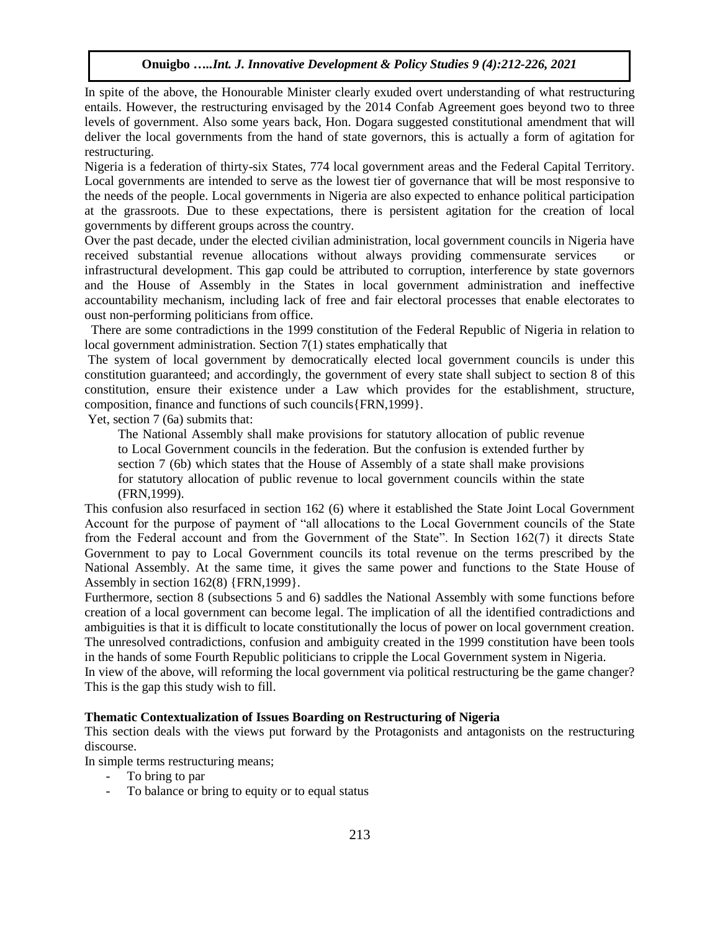In spite of the above, the Honourable Minister clearly exuded overt understanding of what restructuring entails. However, the restructuring envisaged by the 2014 Confab Agreement goes beyond two to three levels of government. Also some years back, Hon. Dogara suggested constitutional amendment that will deliver the local governments from the hand of state governors, this is actually a form of agitation for restructuring.

Nigeria is a federation of thirty-six States, 774 local government areas and the Federal Capital Territory. Local governments are intended to serve as the lowest tier of governance that will be most responsive to the needs of the people. Local governments in Nigeria are also expected to enhance political participation at the grassroots. Due to these expectations, there is persistent agitation for the creation of local governments by different groups across the country.

Over the past decade, under the elected civilian administration, local government councils in Nigeria have received substantial revenue allocations without always providing commensurate services or infrastructural development. This gap could be attributed to corruption, interference by state governors and the House of Assembly in the States in local government administration and ineffective accountability mechanism, including lack of free and fair electoral processes that enable electorates to oust non-performing politicians from office.

 There are some contradictions in the 1999 constitution of the Federal Republic of Nigeria in relation to local government administration. Section 7(1) states emphatically that

The system of local government by democratically elected local government councils is under this constitution guaranteed; and accordingly, the government of every state shall subject to section 8 of this constitution, ensure their existence under a Law which provides for the establishment, structure, composition, finance and functions of such councils{FRN,1999}.

Yet, section 7 (6a) submits that:

The National Assembly shall make provisions for statutory allocation of public revenue to Local Government councils in the federation. But the confusion is extended further by section 7 (6b) which states that the House of Assembly of a state shall make provisions for statutory allocation of public revenue to local government councils within the state (FRN,1999).

This confusion also resurfaced in section 162 (6) where it established the State Joint Local Government Account for the purpose of payment of "all allocations to the Local Government councils of the State from the Federal account and from the Government of the State". In Section 162(7) it directs State Government to pay to Local Government councils its total revenue on the terms prescribed by the National Assembly. At the same time, it gives the same power and functions to the State House of Assembly in section 162(8) {FRN,1999}.

Furthermore, section 8 (subsections 5 and 6) saddles the National Assembly with some functions before creation of a local government can become legal. The implication of all the identified contradictions and ambiguities is that it is difficult to locate constitutionally the locus of power on local government creation. The unresolved contradictions, confusion and ambiguity created in the 1999 constitution have been tools in the hands of some Fourth Republic politicians to cripple the Local Government system in Nigeria.

In view of the above, will reforming the local government via political restructuring be the game changer? This is the gap this study wish to fill.

# **Thematic Contextualization of Issues Boarding on Restructuring of Nigeria**

This section deals with the views put forward by the Protagonists and antagonists on the restructuring discourse.

In simple terms restructuring means;

- To bring to par
- To balance or bring to equity or to equal status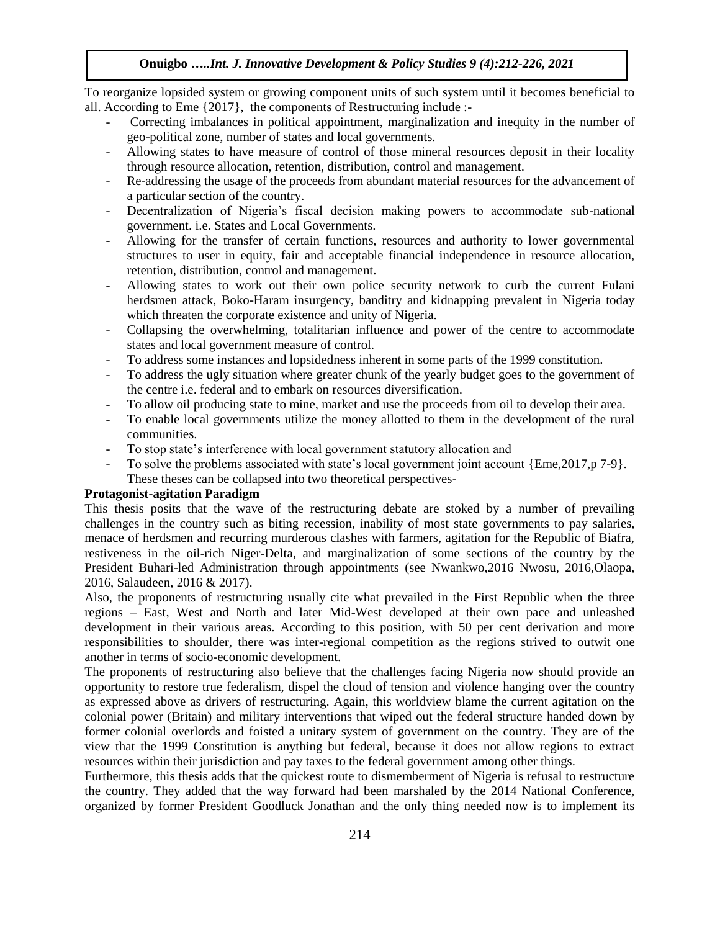To reorganize lopsided system or growing component units of such system until it becomes beneficial to all. According to Eme {2017}, the components of Restructuring include :-

- Correcting imbalances in political appointment, marginalization and inequity in the number of geo-political zone, number of states and local governments.
- Allowing states to have measure of control of those mineral resources deposit in their locality through resource allocation, retention, distribution, control and management.
- Re-addressing the usage of the proceeds from abundant material resources for the advancement of a particular section of the country.
- Decentralization of Nigeria's fiscal decision making powers to accommodate sub-national government. i.e. States and Local Governments.
- Allowing for the transfer of certain functions, resources and authority to lower governmental structures to user in equity, fair and acceptable financial independence in resource allocation, retention, distribution, control and management.
- Allowing states to work out their own police security network to curb the current Fulani herdsmen attack, Boko-Haram insurgency, banditry and kidnapping prevalent in Nigeria today which threaten the corporate existence and unity of Nigeria.
- Collapsing the overwhelming, totalitarian influence and power of the centre to accommodate states and local government measure of control.
- To address some instances and lopsidedness inherent in some parts of the 1999 constitution.
- To address the ugly situation where greater chunk of the yearly budget goes to the government of the centre i.e. federal and to embark on resources diversification.
- To allow oil producing state to mine, market and use the proceeds from oil to develop their area.
- To enable local governments utilize the money allotted to them in the development of the rural communities.
- To stop state's interference with local government statutory allocation and
- To solve the problems associated with state's local government joint account {Eme, 2017, p 7-9}. These theses can be collapsed into two theoretical perspectives-

### **Protagonist-agitation Paradigm**

This thesis posits that the wave of the restructuring debate are stoked by a number of prevailing challenges in the country such as biting recession, inability of most state governments to pay salaries, menace of herdsmen and recurring murderous clashes with farmers, agitation for the Republic of Biafra, restiveness in the oil-rich Niger-Delta, and marginalization of some sections of the country by the President Buhari-led Administration through appointments (see Nwankwo,2016 Nwosu, 2016,Olaopa, 2016, Salaudeen, 2016 & 2017).

Also, the proponents of restructuring usually cite what prevailed in the First Republic when the three regions – East, West and North and later Mid-West developed at their own pace and unleashed development in their various areas. According to this position, with 50 per cent derivation and more responsibilities to shoulder, there was inter-regional competition as the regions strived to outwit one another in terms of socio-economic development.

The proponents of restructuring also believe that the challenges facing Nigeria now should provide an opportunity to restore true federalism, dispel the cloud of tension and violence hanging over the country as expressed above as drivers of restructuring. Again, this worldview blame the current agitation on the colonial power (Britain) and military interventions that wiped out the federal structure handed down by former colonial overlords and foisted a unitary system of government on the country. They are of the view that the 1999 Constitution is anything but federal, because it does not allow regions to extract resources within their jurisdiction and pay taxes to the federal government among other things.

Furthermore, this thesis adds that the quickest route to dismemberment of Nigeria is refusal to restructure the country. They added that the way forward had been marshaled by the 2014 National Conference, organized by former President Goodluck Jonathan and the only thing needed now is to implement its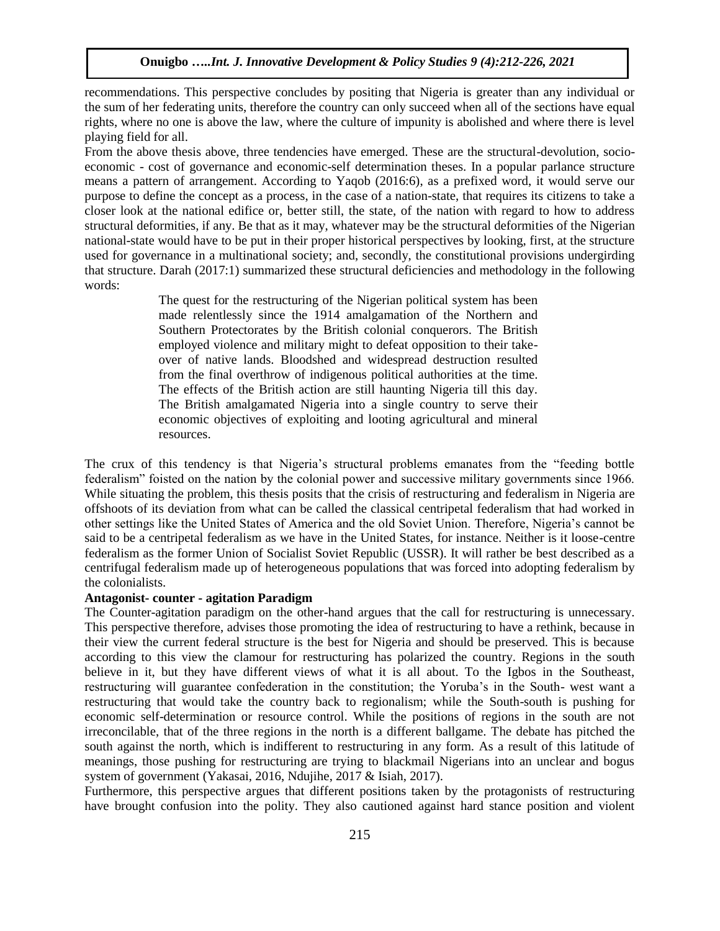recommendations. This perspective concludes by positing that Nigeria is greater than any individual or the sum of her federating units, therefore the country can only succeed when all of the sections have equal rights, where no one is above the law, where the culture of impunity is abolished and where there is level playing field for all.

From the above thesis above, three tendencies have emerged. These are the structural-devolution, socioeconomic - cost of governance and economic-self determination theses. In a popular parlance structure means a pattern of arrangement. According to Yaqob (2016:6), as a prefixed word, it would serve our purpose to define the concept as a process, in the case of a nation-state, that requires its citizens to take a closer look at the national edifice or, better still, the state, of the nation with regard to how to address structural deformities, if any. Be that as it may, whatever may be the structural deformities of the Nigerian national-state would have to be put in their proper historical perspectives by looking, first, at the structure used for governance in a multinational society; and, secondly, the constitutional provisions undergirding that structure. Darah (2017:1) summarized these structural deficiencies and methodology in the following words:

> The quest for the restructuring of the Nigerian political system has been made relentlessly since the 1914 amalgamation of the Northern and Southern Protectorates by the British colonial conquerors. The British employed violence and military might to defeat opposition to their takeover of native lands. Bloodshed and widespread destruction resulted from the final overthrow of indigenous political authorities at the time. The effects of the British action are still haunting Nigeria till this day. The British amalgamated Nigeria into a single country to serve their economic objectives of exploiting and looting agricultural and mineral resources.

The crux of this tendency is that Nigeria's structural problems emanates from the "feeding bottle federalism" foisted on the nation by the colonial power and successive military governments since 1966. While situating the problem, this thesis posits that the crisis of restructuring and federalism in Nigeria are offshoots of its deviation from what can be called the classical centripetal federalism that had worked in other settings like the United States of America and the old Soviet Union. Therefore, Nigeria's cannot be said to be a centripetal federalism as we have in the United States, for instance. Neither is it loose-centre federalism as the former Union of Socialist Soviet Republic (USSR). It will rather be best described as a centrifugal federalism made up of heterogeneous populations that was forced into adopting federalism by the colonialists.

### **Antagonist- counter - agitation Paradigm**

The Counter-agitation paradigm on the other-hand argues that the call for restructuring is unnecessary. This perspective therefore, advises those promoting the idea of restructuring to have a rethink, because in their view the current federal structure is the best for Nigeria and should be preserved. This is because according to this view the clamour for restructuring has polarized the country. Regions in the south believe in it, but they have different views of what it is all about. To the Igbos in the Southeast, restructuring will guarantee confederation in the constitution; the Yoruba's in the South- west want a restructuring that would take the country back to regionalism; while the South-south is pushing for economic self-determination or resource control. While the positions of regions in the south are not irreconcilable, that of the three regions in the north is a different ballgame. The debate has pitched the south against the north, which is indifferent to restructuring in any form. As a result of this latitude of meanings, those pushing for restructuring are trying to blackmail Nigerians into an unclear and bogus system of government (Yakasai, 2016, Ndujihe, 2017 & Isiah, 2017).

Furthermore, this perspective argues that different positions taken by the protagonists of restructuring have brought confusion into the polity. They also cautioned against hard stance position and violent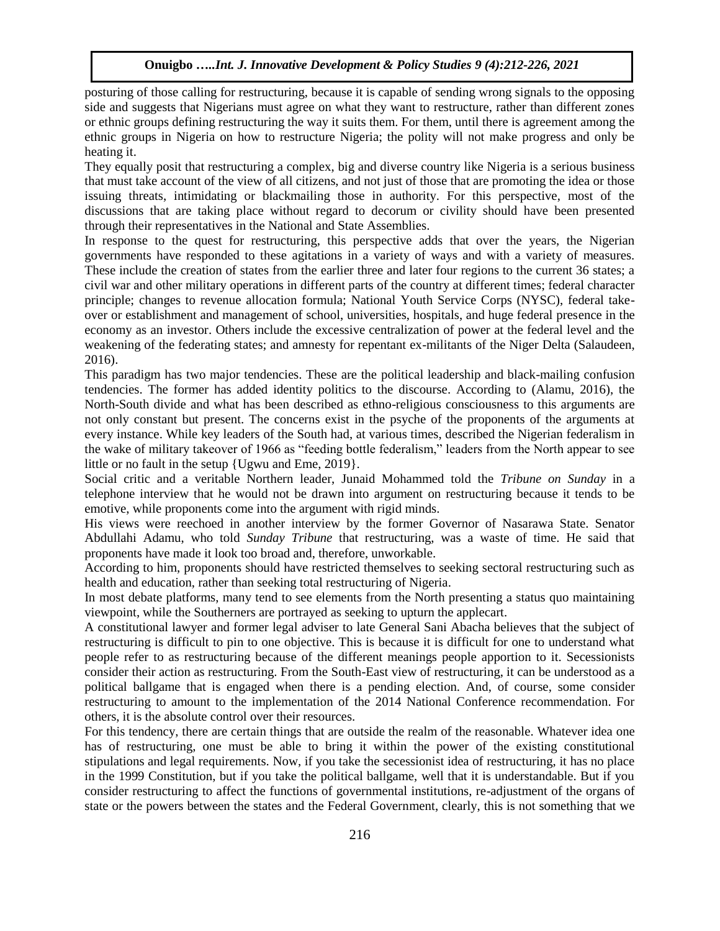posturing of those calling for restructuring, because it is capable of sending wrong signals to the opposing side and suggests that Nigerians must agree on what they want to restructure, rather than different zones or ethnic groups defining restructuring the way it suits them. For them, until there is agreement among the ethnic groups in Nigeria on how to restructure Nigeria; the polity will not make progress and only be heating it.

They equally posit that restructuring a complex, big and diverse country like Nigeria is a serious business that must take account of the view of all citizens, and not just of those that are promoting the idea or those issuing threats, intimidating or blackmailing those in authority. For this perspective, most of the discussions that are taking place without regard to decorum or civility should have been presented through their representatives in the National and State Assemblies.

In response to the quest for restructuring, this perspective adds that over the years, the Nigerian governments have responded to these agitations in a variety of ways and with a variety of measures. These include the creation of states from the earlier three and later four regions to the current 36 states; a civil war and other military operations in different parts of the country at different times; federal character principle; changes to revenue allocation formula; National Youth Service Corps (NYSC), federal takeover or establishment and management of school, universities, hospitals, and huge federal presence in the economy as an investor. Others include the excessive centralization of power at the federal level and the weakening of the federating states; and amnesty for repentant ex-militants of the Niger Delta (Salaudeen, 2016).

This paradigm has two major tendencies. These are the political leadership and black-mailing confusion tendencies. The former has added identity politics to the discourse. According to (Alamu, 2016), the North-South divide and what has been described as ethno-religious consciousness to this arguments are not only constant but present. The concerns exist in the psyche of the proponents of the arguments at every instance. While key leaders of the South had, at various times, described the Nigerian federalism in the wake of military takeover of 1966 as "feeding bottle federalism," leaders from the North appear to see little or no fault in the setup {Ugwu and Eme, 2019}.

Social critic and a veritable Northern leader, Junaid Mohammed told the *Tribune on Sunday* in a telephone interview that he would not be drawn into argument on restructuring because it tends to be emotive, while proponents come into the argument with rigid minds.

His views were reechoed in another interview by the former Governor of Nasarawa State. Senator Abdullahi Adamu, who told *Sunday Tribune* that restructuring, was a waste of time. He said that proponents have made it look too broad and, therefore, unworkable.

According to him, proponents should have restricted themselves to seeking sectoral restructuring such as health and education, rather than seeking total restructuring of Nigeria.

In most debate platforms, many tend to see elements from the North presenting a status quo maintaining viewpoint, while the Southerners are portrayed as seeking to upturn the applecart.

A constitutional lawyer and former legal adviser to late General Sani Abacha believes that the subject of restructuring is difficult to pin to one objective. This is because it is difficult for one to understand what people refer to as restructuring because of the different meanings people apportion to it. Secessionists consider their action as restructuring. From the South-East view of restructuring, it can be understood as a political ballgame that is engaged when there is a pending election. And, of course, some consider restructuring to amount to the implementation of the 2014 National Conference recommendation. For others, it is the absolute control over their resources.

For this tendency, there are certain things that are outside the realm of the reasonable. Whatever idea one has of restructuring, one must be able to bring it within the power of the existing constitutional stipulations and legal requirements. Now, if you take the secessionist idea of restructuring, it has no place in the 1999 Constitution, but if you take the political ballgame, well that it is understandable. But if you consider restructuring to affect the functions of governmental institutions, re-adjustment of the organs of state or the powers between the states and the Federal Government, clearly, this is not something that we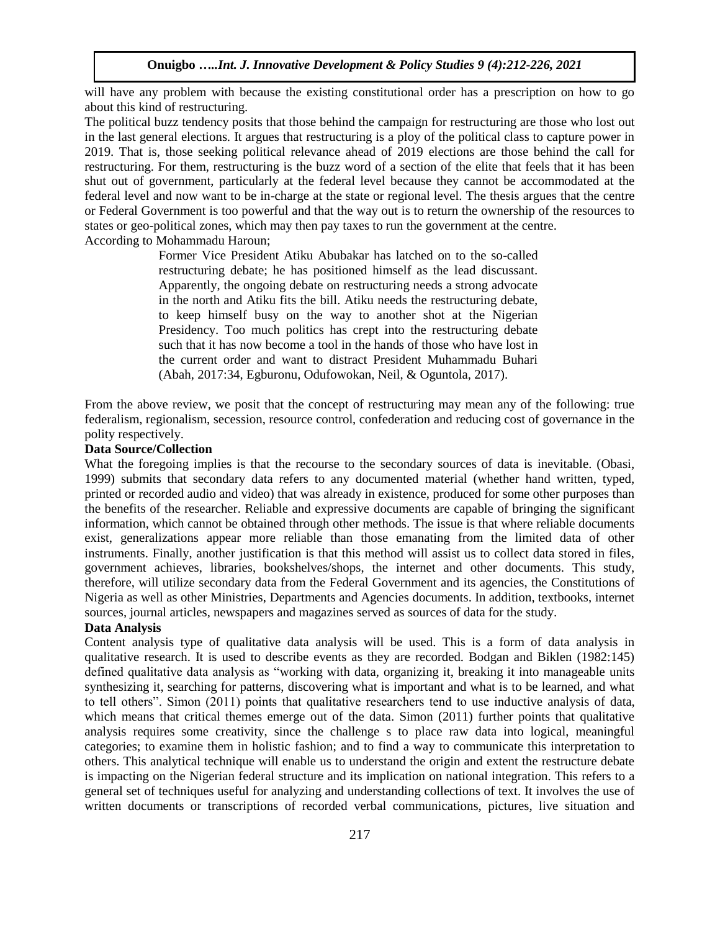will have any problem with because the existing constitutional order has a prescription on how to go about this kind of restructuring.

The political buzz tendency posits that those behind the campaign for restructuring are those who lost out in the last general elections. It argues that restructuring is a ploy of the political class to capture power in 2019. That is, those seeking political relevance ahead of 2019 elections are those behind the call for restructuring. For them, restructuring is the buzz word of a section of the elite that feels that it has been shut out of government, particularly at the federal level because they cannot be accommodated at the federal level and now want to be in-charge at the state or regional level. The thesis argues that the centre or Federal Government is too powerful and that the way out is to return the ownership of the resources to states or geo-political zones, which may then pay taxes to run the government at the centre. According to Mohammadu Haroun;

> Former Vice President Atiku Abubakar has latched on to the so-called restructuring debate; he has positioned himself as the lead discussant. Apparently, the ongoing debate on restructuring needs a strong advocate in the north and Atiku fits the bill. Atiku needs the restructuring debate, to keep himself busy on the way to another shot at the Nigerian Presidency. Too much politics has crept into the restructuring debate such that it has now become a tool in the hands of those who have lost in the current order and want to distract President Muhammadu Buhari (Abah, 2017:34, Egburonu, Odufowokan, Neil, & Oguntola, 2017).

From the above review, we posit that the concept of restructuring may mean any of the following: true federalism, regionalism, secession, resource control, confederation and reducing cost of governance in the polity respectively.

# **Data Source/Collection**

What the foregoing implies is that the recourse to the secondary sources of data is inevitable. (Obasi, 1999) submits that secondary data refers to any documented material (whether hand written, typed, printed or recorded audio and video) that was already in existence, produced for some other purposes than the benefits of the researcher. Reliable and expressive documents are capable of bringing the significant information, which cannot be obtained through other methods. The issue is that where reliable documents exist, generalizations appear more reliable than those emanating from the limited data of other instruments. Finally, another justification is that this method will assist us to collect data stored in files, government achieves, libraries, bookshelves/shops, the internet and other documents. This study, therefore, will utilize secondary data from the Federal Government and its agencies, the Constitutions of Nigeria as well as other Ministries, Departments and Agencies documents. In addition, textbooks, internet sources, journal articles, newspapers and magazines served as sources of data for the study.

### **Data Analysis**

Content analysis type of qualitative data analysis will be used. This is a form of data analysis in qualitative research. It is used to describe events as they are recorded. Bodgan and Biklen (1982:145) defined qualitative data analysis as "working with data, organizing it, breaking it into manageable units synthesizing it, searching for patterns, discovering what is important and what is to be learned, and what to tell others". Simon (2011) points that qualitative researchers tend to use inductive analysis of data, which means that critical themes emerge out of the data. Simon (2011) further points that qualitative analysis requires some creativity, since the challenge s to place raw data into logical, meaningful categories; to examine them in holistic fashion; and to find a way to communicate this interpretation to others. This analytical technique will enable us to understand the origin and extent the restructure debate is impacting on the Nigerian federal structure and its implication on national integration. This refers to a general set of techniques useful for analyzing and understanding collections of text. It involves the use of written documents or transcriptions of recorded verbal communications, pictures, live situation and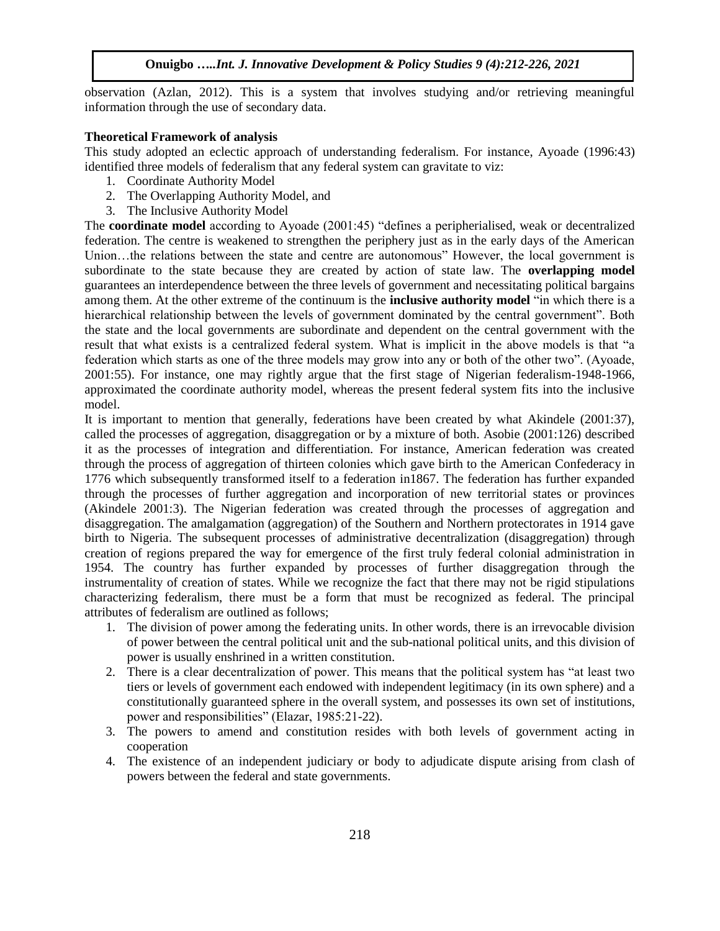observation (Azlan, 2012). This is a system that involves studying and/or retrieving meaningful information through the use of secondary data.

### **Theoretical Framework of analysis**

This study adopted an eclectic approach of understanding federalism. For instance, Ayoade (1996:43) identified three models of federalism that any federal system can gravitate to viz:

- 1. Coordinate Authority Model
- 2. The Overlapping Authority Model, and
- 3. The Inclusive Authority Model

The **coordinate model** according to Ayoade (2001:45) "defines a peripherialised, weak or decentralized federation. The centre is weakened to strengthen the periphery just as in the early days of the American Union…the relations between the state and centre are autonomous" However, the local government is subordinate to the state because they are created by action of state law. The **overlapping model** guarantees an interdependence between the three levels of government and necessitating political bargains among them. At the other extreme of the continuum is the **inclusive authority model** "in which there is a hierarchical relationship between the levels of government dominated by the central government". Both the state and the local governments are subordinate and dependent on the central government with the result that what exists is a centralized federal system. What is implicit in the above models is that "a federation which starts as one of the three models may grow into any or both of the other two". (Ayoade, 2001:55). For instance, one may rightly argue that the first stage of Nigerian federalism-1948-1966, approximated the coordinate authority model, whereas the present federal system fits into the inclusive model.

It is important to mention that generally, federations have been created by what Akindele (2001:37), called the processes of aggregation, disaggregation or by a mixture of both. Asobie (2001:126) described it as the processes of integration and differentiation. For instance, American federation was created through the process of aggregation of thirteen colonies which gave birth to the American Confederacy in 1776 which subsequently transformed itself to a federation in1867. The federation has further expanded through the processes of further aggregation and incorporation of new territorial states or provinces (Akindele 2001:3). The Nigerian federation was created through the processes of aggregation and disaggregation. The amalgamation (aggregation) of the Southern and Northern protectorates in 1914 gave birth to Nigeria. The subsequent processes of administrative decentralization (disaggregation) through creation of regions prepared the way for emergence of the first truly federal colonial administration in 1954. The country has further expanded by processes of further disaggregation through the instrumentality of creation of states. While we recognize the fact that there may not be rigid stipulations characterizing federalism, there must be a form that must be recognized as federal. The principal attributes of federalism are outlined as follows;

- 1. The division of power among the federating units. In other words, there is an irrevocable division of power between the central political unit and the sub-national political units, and this division of power is usually enshrined in a written constitution.
- 2. There is a clear decentralization of power. This means that the political system has "at least two tiers or levels of government each endowed with independent legitimacy (in its own sphere) and a constitutionally guaranteed sphere in the overall system, and possesses its own set of institutions, power and responsibilities" (Elazar, 1985:21-22).
- 3. The powers to amend and constitution resides with both levels of government acting in cooperation
- 4. The existence of an independent judiciary or body to adjudicate dispute arising from clash of powers between the federal and state governments.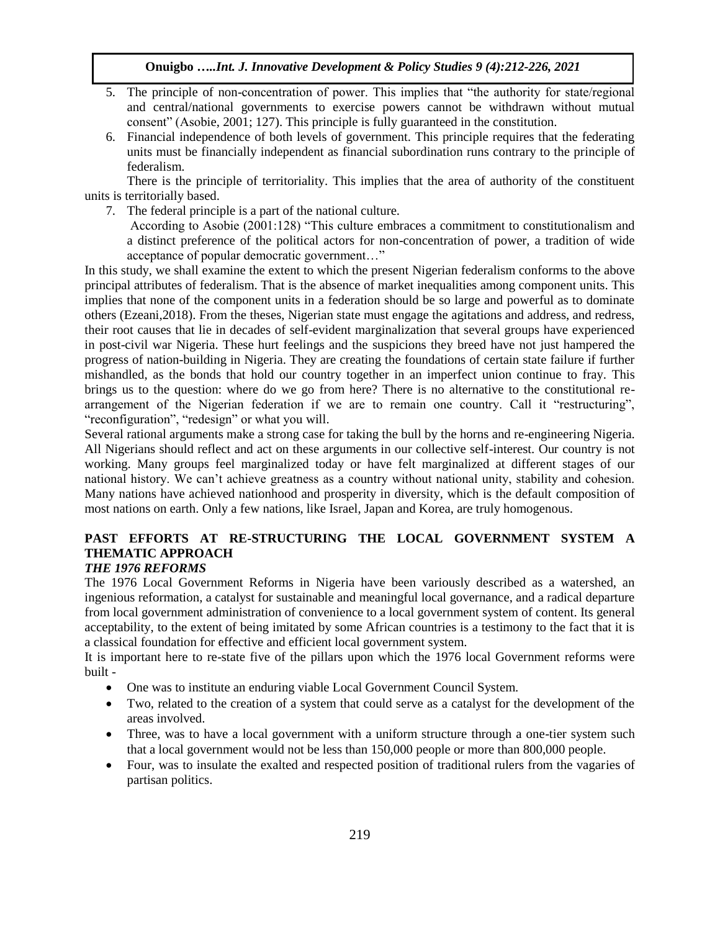- 5. The principle of non-concentration of power. This implies that "the authority for state/regional and central/national governments to exercise powers cannot be withdrawn without mutual consent" (Asobie, 2001; 127). This principle is fully guaranteed in the constitution.
- 6. Financial independence of both levels of government. This principle requires that the federating units must be financially independent as financial subordination runs contrary to the principle of federalism.

There is the principle of territoriality. This implies that the area of authority of the constituent units is territorially based.

7. The federal principle is a part of the national culture.

According to Asobie (2001:128) "This culture embraces a commitment to constitutionalism and a distinct preference of the political actors for non-concentration of power, a tradition of wide acceptance of popular democratic government…"

In this study, we shall examine the extent to which the present Nigerian federalism conforms to the above principal attributes of federalism. That is the absence of market inequalities among component units. This implies that none of the component units in a federation should be so large and powerful as to dominate others (Ezeani,2018). From the theses, Nigerian state must engage the agitations and address, and redress, their root causes that lie in decades of self-evident marginalization that several groups have experienced in post-civil war Nigeria. These hurt feelings and the suspicions they breed have not just hampered the progress of nation-building in Nigeria. They are creating the foundations of certain state failure if further mishandled, as the bonds that hold our country together in an imperfect union continue to fray. This brings us to the question: where do we go from here? There is no alternative to the constitutional rearrangement of the Nigerian federation if we are to remain one country. Call it "restructuring", "reconfiguration", "redesign" or what you will.

Several rational arguments make a strong case for taking the bull by the horns and re-engineering Nigeria. All Nigerians should reflect and act on these arguments in our collective self-interest. Our country is not working. Many groups feel marginalized today or have felt marginalized at different stages of our national history. We can't achieve greatness as a country without national unity, stability and cohesion. Many nations have achieved nationhood and prosperity in diversity, which is the default composition of most nations on earth. Only a few nations, like Israel, Japan and Korea, are truly homogenous.

# **PAST EFFORTS AT RE-STRUCTURING THE LOCAL GOVERNMENT SYSTEM A THEMATIC APPROACH**

# *THE 1976 REFORMS*

The 1976 Local Government Reforms in Nigeria have been variously described as a watershed, an ingenious reformation, a catalyst for sustainable and meaningful local governance, and a radical departure from local government administration of convenience to a local government system of content. Its general acceptability, to the extent of being imitated by some African countries is a testimony to the fact that it is a classical foundation for effective and efficient local government system.

It is important here to re-state five of the pillars upon which the 1976 local Government reforms were built -

- One was to institute an enduring viable Local Government Council System.
- Two, related to the creation of a system that could serve as a catalyst for the development of the areas involved.
- Three, was to have a local government with a uniform structure through a one-tier system such that a local government would not be less than 150,000 people or more than 800,000 people.
- Four, was to insulate the exalted and respected position of traditional rulers from the vagaries of partisan politics.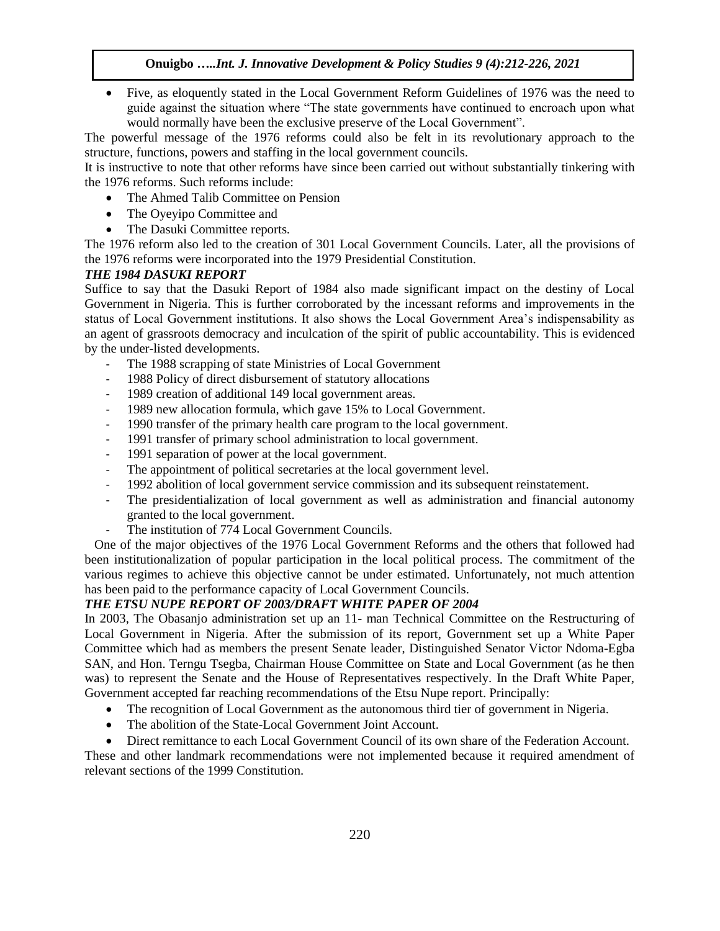Five, as eloquently stated in the Local Government Reform Guidelines of 1976 was the need to guide against the situation where "The state governments have continued to encroach upon what would normally have been the exclusive preserve of the Local Government".

The powerful message of the 1976 reforms could also be felt in its revolutionary approach to the structure, functions, powers and staffing in the local government councils.

It is instructive to note that other reforms have since been carried out without substantially tinkering with the 1976 reforms. Such reforms include:

- The Ahmed Talib Committee on Pension
- The Oyeyipo Committee and
- The Dasuki Committee reports.

The 1976 reform also led to the creation of 301 Local Government Councils. Later, all the provisions of the 1976 reforms were incorporated into the 1979 Presidential Constitution.

### *THE 1984 DASUKI REPORT*

Suffice to say that the Dasuki Report of 1984 also made significant impact on the destiny of Local Government in Nigeria. This is further corroborated by the incessant reforms and improvements in the status of Local Government institutions. It also shows the Local Government Area's indispensability as an agent of grassroots democracy and inculcation of the spirit of public accountability. This is evidenced by the under-listed developments.

- The 1988 scrapping of state Ministries of Local Government
- 1988 Policy of direct disbursement of statutory allocations
- 1989 creation of additional 149 local government areas.
- 1989 new allocation formula, which gave 15% to Local Government.
- 1990 transfer of the primary health care program to the local government.
- 1991 transfer of primary school administration to local government.
- 1991 separation of power at the local government.
- The appointment of political secretaries at the local government level.
- 1992 abolition of local government service commission and its subsequent reinstatement.
- The presidentialization of local government as well as administration and financial autonomy granted to the local government.
- The institution of 774 Local Government Councils.

 One of the major objectives of the 1976 Local Government Reforms and the others that followed had been institutionalization of popular participation in the local political process. The commitment of the various regimes to achieve this objective cannot be under estimated. Unfortunately, not much attention has been paid to the performance capacity of Local Government Councils.

# *THE ETSU NUPE REPORT OF 2003/DRAFT WHITE PAPER OF 2004*

In 2003, The Obasanjo administration set up an 11- man Technical Committee on the Restructuring of Local Government in Nigeria. After the submission of its report, Government set up a White Paper Committee which had as members the present Senate leader, Distinguished Senator Victor Ndoma-Egba SAN, and Hon. Terngu Tsegba, Chairman House Committee on State and Local Government (as he then was) to represent the Senate and the House of Representatives respectively. In the Draft White Paper, Government accepted far reaching recommendations of the Etsu Nupe report. Principally:

- The recognition of Local Government as the autonomous third tier of government in Nigeria.
- The abolition of the State-Local Government Joint Account.
- Direct remittance to each Local Government Council of its own share of the Federation Account.

These and other landmark recommendations were not implemented because it required amendment of relevant sections of the 1999 Constitution.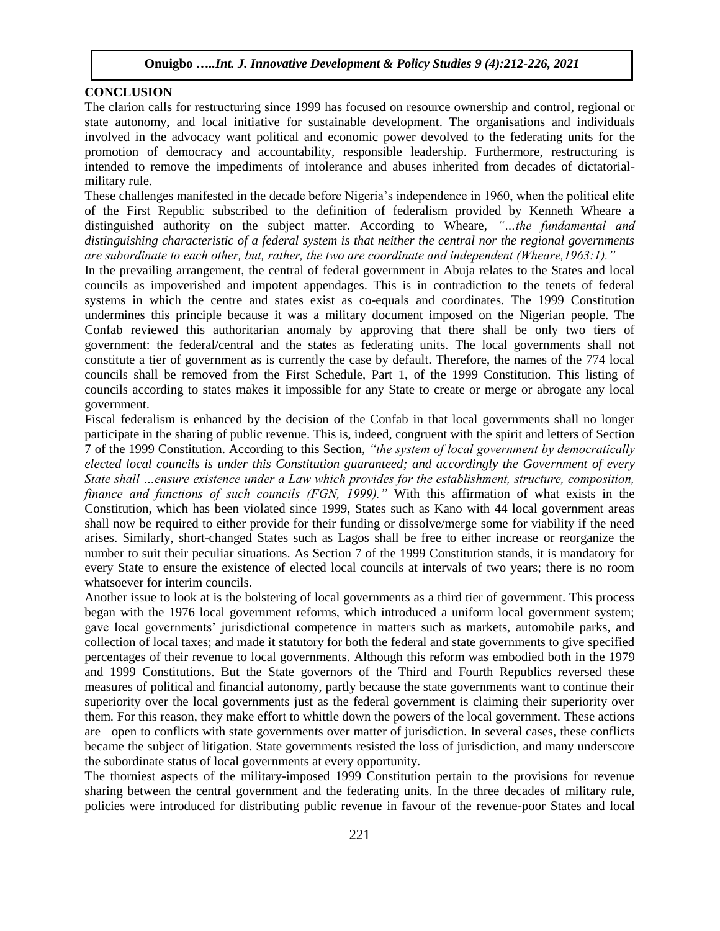### **CONCLUSION**

The clarion calls for restructuring since 1999 has focused on resource ownership and control, regional or state autonomy, and local initiative for sustainable development. The organisations and individuals involved in the advocacy want political and economic power devolved to the federating units for the promotion of democracy and accountability, responsible leadership. Furthermore, restructuring is intended to remove the impediments of intolerance and abuses inherited from decades of dictatorialmilitary rule.

These challenges manifested in the decade before Nigeria's independence in 1960, when the political elite of the First Republic subscribed to the definition of federalism provided by Kenneth Wheare a distinguished authority on the subject matter. According to Wheare, *"…the fundamental and distinguishing characteristic of a federal system is that neither the central nor the regional governments are subordinate to each other, but, rather, the two are coordinate and independent (Wheare,1963:1)."*

In the prevailing arrangement, the central of federal government in Abuja relates to the States and local councils as impoverished and impotent appendages. This is in contradiction to the tenets of federal systems in which the centre and states exist as co-equals and coordinates. The 1999 Constitution undermines this principle because it was a military document imposed on the Nigerian people. The Confab reviewed this authoritarian anomaly by approving that there shall be only two tiers of government: the federal/central and the states as federating units. The local governments shall not constitute a tier of government as is currently the case by default. Therefore, the names of the 774 local councils shall be removed from the First Schedule, Part 1, of the 1999 Constitution. This listing of councils according to states makes it impossible for any State to create or merge or abrogate any local government.

Fiscal federalism is enhanced by the decision of the Confab in that local governments shall no longer participate in the sharing of public revenue. This is, indeed, congruent with the spirit and letters of Section 7 of the 1999 Constitution. According to this Section, *"the system of local government by democratically elected local councils is under this Constitution guaranteed; and accordingly the Government of every State shall …ensure existence under a Law which provides for the establishment, structure, composition, finance and functions of such councils (FGN, 1999)."* With this affirmation of what exists in the Constitution, which has been violated since 1999, States such as Kano with 44 local government areas shall now be required to either provide for their funding or dissolve/merge some for viability if the need arises. Similarly, short-changed States such as Lagos shall be free to either increase or reorganize the number to suit their peculiar situations. As Section 7 of the 1999 Constitution stands, it is mandatory for every State to ensure the existence of elected local councils at intervals of two years; there is no room whatsoever for interim councils.

Another issue to look at is the bolstering of local governments as a third tier of government. This process began with the 1976 local government reforms, which introduced a uniform local government system; gave local governments' jurisdictional competence in matters such as markets, automobile parks, and collection of local taxes; and made it statutory for both the federal and state governments to give specified percentages of their revenue to local governments. Although this reform was embodied both in the 1979 and 1999 Constitutions. But the State governors of the Third and Fourth Republics reversed these measures of political and financial autonomy, partly because the state governments want to continue their superiority over the local governments just as the federal government is claiming their superiority over them. For this reason, they make effort to whittle down the powers of the local government. These actions are open to conflicts with state governments over matter of jurisdiction. In several cases, these conflicts became the subject of litigation. State governments resisted the loss of jurisdiction, and many underscore the subordinate status of local governments at every opportunity.

The thorniest aspects of the military-imposed 1999 Constitution pertain to the provisions for revenue sharing between the central government and the federating units. In the three decades of military rule, policies were introduced for distributing public revenue in favour of the revenue-poor States and local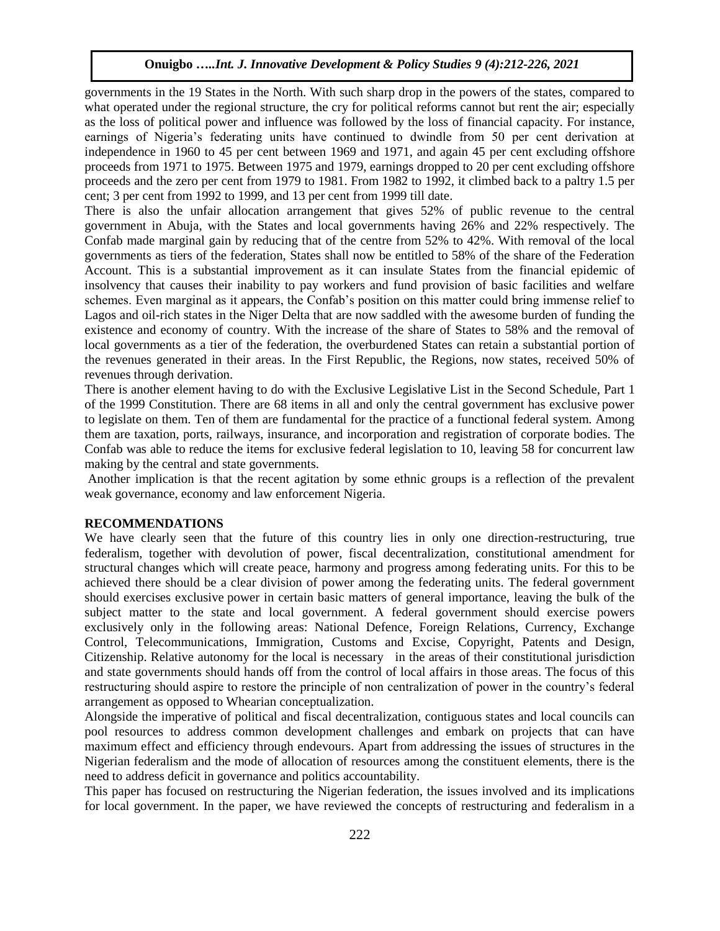governments in the 19 States in the North. With such sharp drop in the powers of the states, compared to what operated under the regional structure, the cry for political reforms cannot but rent the air; especially as the loss of political power and influence was followed by the loss of financial capacity. For instance, earnings of Nigeria's federating units have continued to dwindle from 50 per cent derivation at independence in 1960 to 45 per cent between 1969 and 1971, and again 45 per cent excluding offshore proceeds from 1971 to 1975. Between 1975 and 1979, earnings dropped to 20 per cent excluding offshore proceeds and the zero per cent from 1979 to 1981. From 1982 to 1992, it climbed back to a paltry 1.5 per cent; 3 per cent from 1992 to 1999, and 13 per cent from 1999 till date.

There is also the unfair allocation arrangement that gives 52% of public revenue to the central government in Abuja, with the States and local governments having 26% and 22% respectively. The Confab made marginal gain by reducing that of the centre from 52% to 42%. With removal of the local governments as tiers of the federation, States shall now be entitled to 58% of the share of the Federation Account. This is a substantial improvement as it can insulate States from the financial epidemic of insolvency that causes their inability to pay workers and fund provision of basic facilities and welfare schemes. Even marginal as it appears, the Confab's position on this matter could bring immense relief to Lagos and oil-rich states in the Niger Delta that are now saddled with the awesome burden of funding the existence and economy of country. With the increase of the share of States to 58% and the removal of local governments as a tier of the federation, the overburdened States can retain a substantial portion of the revenues generated in their areas. In the First Republic, the Regions, now states, received 50% of revenues through derivation.

There is another element having to do with the Exclusive Legislative List in the Second Schedule, Part 1 of the 1999 Constitution. There are 68 items in all and only the central government has exclusive power to legislate on them. Ten of them are fundamental for the practice of a functional federal system. Among them are taxation, ports, railways, insurance, and incorporation and registration of corporate bodies. The Confab was able to reduce the items for exclusive federal legislation to 10, leaving 58 for concurrent law making by the central and state governments.

Another implication is that the recent agitation by some ethnic groups is a reflection of the prevalent weak governance, economy and law enforcement Nigeria.

### **RECOMMENDATIONS**

We have clearly seen that the future of this country lies in only one direction-restructuring, true federalism, together with devolution of power, fiscal decentralization, constitutional amendment for structural changes which will create peace, harmony and progress among federating units. For this to be achieved there should be a clear division of power among the federating units. The federal government should exercises exclusive power in certain basic matters of general importance, leaving the bulk of the subject matter to the state and local government. A federal government should exercise powers exclusively only in the following areas: National Defence, Foreign Relations, Currency, Exchange Control, Telecommunications, Immigration, Customs and Excise, Copyright, Patents and Design, Citizenship. Relative autonomy for the local is necessary in the areas of their constitutional jurisdiction and state governments should hands off from the control of local affairs in those areas. The focus of this restructuring should aspire to restore the principle of non centralization of power in the country's federal arrangement as opposed to Whearian conceptualization.

Alongside the imperative of political and fiscal decentralization, contiguous states and local councils can pool resources to address common development challenges and embark on projects that can have maximum effect and efficiency through endevours. Apart from addressing the issues of structures in the Nigerian federalism and the mode of allocation of resources among the constituent elements, there is the need to address deficit in governance and politics accountability.

This paper has focused on restructuring the Nigerian federation, the issues involved and its implications for local government. In the paper, we have reviewed the concepts of restructuring and federalism in a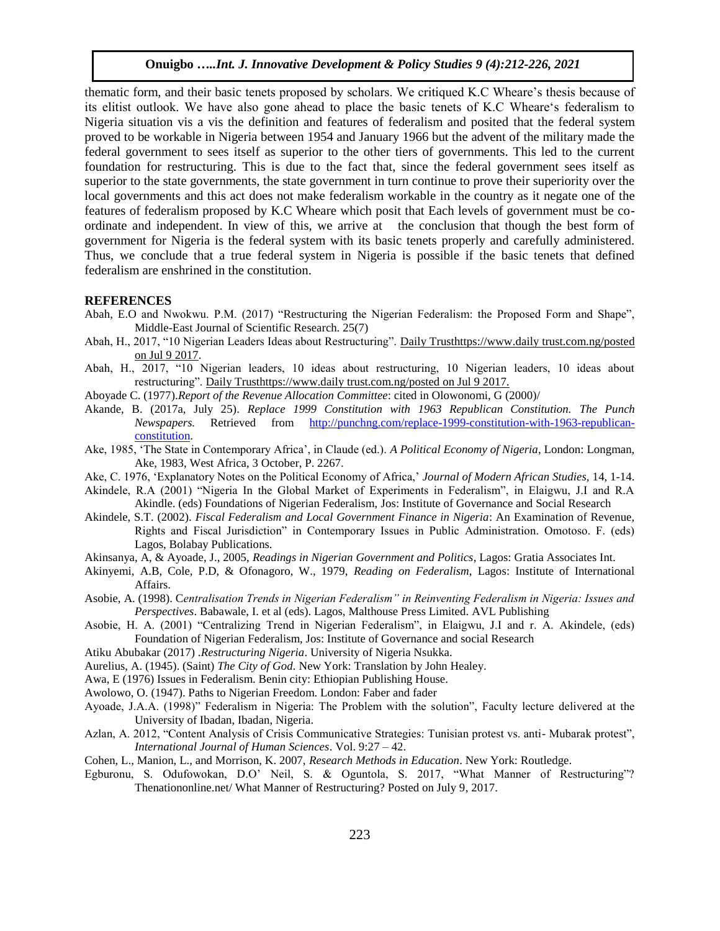thematic form, and their basic tenets proposed by scholars. We critiqued K.C Wheare's thesis because of its elitist outlook. We have also gone ahead to place the basic tenets of K.C Wheare's federalism to Nigeria situation vis a vis the definition and features of federalism and posited that the federal system proved to be workable in Nigeria between 1954 and January 1966 but the advent of the military made the federal government to sees itself as superior to the other tiers of governments. This led to the current foundation for restructuring. This is due to the fact that, since the federal government sees itself as superior to the state governments, the state government in turn continue to prove their superiority over the local governments and this act does not make federalism workable in the country as it negate one of the features of federalism proposed by K.C Wheare which posit that Each levels of government must be coordinate and independent. In view of this, we arrive at the conclusion that though the best form of government for Nigeria is the federal system with its basic tenets properly and carefully administered. Thus, we conclude that a true federal system in Nigeria is possible if the basic tenets that defined federalism are enshrined in the constitution.

#### **REFERENCES**

- Abah, E.O and Nwokwu. P.M. (2017) "Restructuring the Nigerian Federalism: the Proposed Form and Shape", Middle-East Journal of Scientific Research. 25(7)
- Abah, H., 2017, "10 Nigerian Leaders Ideas about Restructuring". Daily Trusthttps://www.daily trust.com.ng/posted on Jul 9 2017.
- Abah, H., 2017, "10 Nigerian leaders, 10 ideas about restructuring, 10 Nigerian leaders, 10 ideas about restructuring". Daily Trusthttps://www.daily trust.com.ng/posted on Jul 9 2017.
- Aboyade C. (1977).*Report of the Revenue Allocation Committee*: cited in Olowonomi, G (2000)/
- Akande, B. (2017a, July 25). *Replace 1999 Constitution with 1963 Republican Constitution. The Punch Newspapers.* Retrieved from [http://punchng.com/replace-1999-constitution-with-1963-republican](http://punchng.com/replace-1999-constitution-with-1963-republican-constitution)[constitution.](http://punchng.com/replace-1999-constitution-with-1963-republican-constitution)
- Ake, 1985, 'The State in Contemporary Africa', in Claude (ed.). *A Political Economy of Nigeria*, London: Longman, Ake, 1983, West Africa, 3 October, P. 2267.
- Ake, C. 1976, 'Explanatory Notes on the Political Economy of Africa,' *Journal of Modern African Studies,* 14, 1-14.
- Akindele, R.A (2001) "Nigeria In the Global Market of Experiments in Federalism", in Elaigwu, J.I and R.A Akindle. (eds) Foundations of Nigerian Federalism, Jos: Institute of Governance and Social Research
- Akindele, S.T. (2002). *Fiscal Federalism and Local Government Finance in Nigeria*: An Examination of Revenue, Rights and Fiscal Jurisdiction" in Contemporary Issues in Public Administration. Omotoso. F. (eds) Lagos, Bolabay Publications.
- Akinsanya, A, & Ayoade, J., 2005, *Readings in Nigerian Government and Politics*, Lagos: Gratia Associates Int.
- Akinyemi, A.B, Cole, P.D, & Ofonagoro, W., 1979, *Reading on Federalism,* Lagos: Institute of International Affairs.
- Asobie, A. (1998). C*entralisation Trends in Nigerian Federalism" in Reinventing Federalism in Nigeria: Issues and Perspectives*. Babawale, I. et al (eds). Lagos, Malthouse Press Limited. AVL Publishing
- Asobie, H. A. (2001) "Centralizing Trend in Nigerian Federalism", in Elaigwu, J.I and r. A. Akindele, (eds) Foundation of Nigerian Federalism, Jos: Institute of Governance and social Research
- Atiku Abubakar (2017) .*Restructuring Nigeria*. University of Nigeria Nsukka.
- Aurelius, A. (1945). (Saint) *The City of God.* New York: Translation by John Healey.
- Awa, E (1976) Issues in Federalism. Benin city: Ethiopian Publishing House.
- Awolowo, O. (1947). Paths to Nigerian Freedom. London: Faber and fader
- Ayoade, J.A.A. (1998)" Federalism in Nigeria: The Problem with the solution", Faculty lecture delivered at the University of Ibadan, Ibadan, Nigeria.
- Azlan, A. 2012, "Content Analysis of Crisis Communicative Strategies: Tunisian protest vs. anti- Mubarak protest", *International Journal of Human Sciences*. Vol. 9:27 – 42.
- Cohen, L., Manion, L., and Morrison, K. 2007, *Research Methods in Education*. New York: Routledge.
- Egburonu, S. Odufowokan, D.O' Neil, S. & Oguntola, S. 2017, "What Manner of Restructuring"? Thenationonline.net/ What Manner of Restructuring? Posted on July 9, 2017.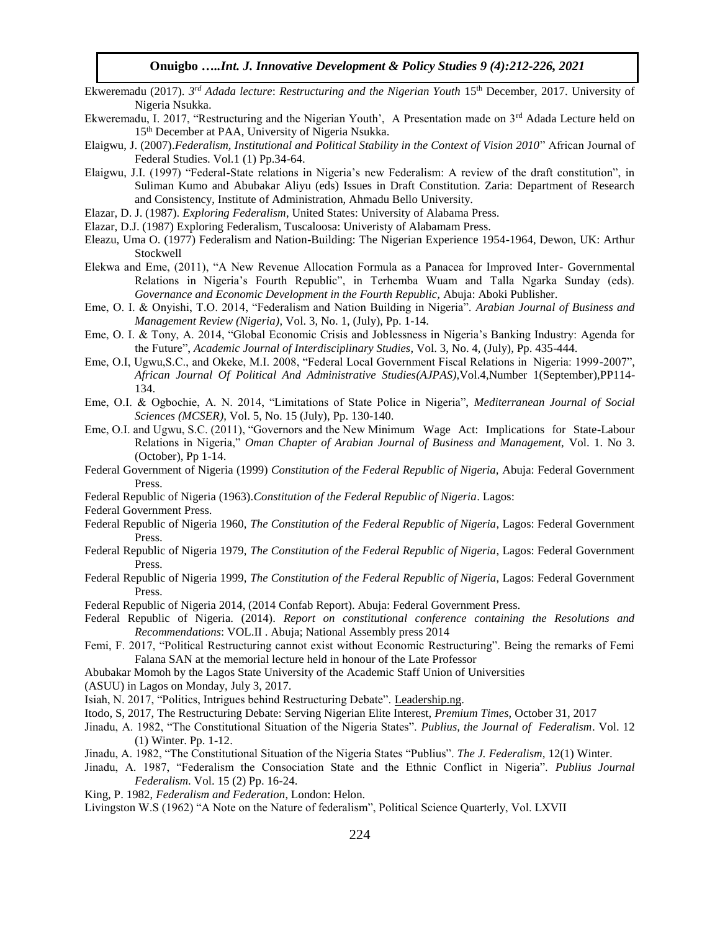- Ekweremadu (2017). *3<sup>rd</sup> Adada lecture: Restructuring and the Nigerian Youth* 15<sup>th</sup> December, 2017. University of Nigeria Nsukka.
- Ekweremadu, I. 2017, "Restructuring and the Nigerian Youth', A Presentation made on 3rd Adada Lecture held on 15th December at PAA, University of Nigeria Nsukka.
- Elaigwu, J. (2007).*Federalism, Institutional and Political Stability in the Context of Vision 2010*" African Journal of Federal Studies. Vol.1 (1) Pp.34-64.
- Elaigwu, J.I. (1997) "Federal-State relations in Nigeria's new Federalism: A review of the draft constitution", in Suliman Kumo and Abubakar Aliyu (eds) Issues in Draft Constitution. Zaria: Department of Research and Consistency, Institute of Administration, Ahmadu Bello University.
- Elazar, D. J. (1987). *Exploring Federalism*, United States: University of Alabama Press.
- Elazar, D.J. (1987) Exploring Federalism, Tuscaloosa: Univeristy of Alabamam Press.
- Eleazu, Uma O. (1977) Federalism and Nation-Building: The Nigerian Experience 1954-1964, Dewon, UK: Arthur Stockwell
- Elekwa and Eme, (2011), "A New Revenue Allocation Formula as a Panacea for Improved Inter- Governmental Relations in Nigeria's Fourth Republic", in Terhemba Wuam and Talla Ngarka Sunday (eds). *Governance and Economic Development in the Fourth Republic,* Abuja: Aboki Publisher.
- Eme, O. I. & Onyishi, T.O. 2014, "Federalism and Nation Building in Nigeria". *Arabian Journal of Business and Management Review (Nigeria)*, Vol. 3, No. 1, (July), Pp. 1-14.
- Eme, O. I. & Tony, A. 2014, "Global Economic Crisis and Joblessness in Nigeria's Banking Industry: Agenda for the Future", *Academic Journal of Interdisciplinary Studies*, Vol. 3, No. 4, (July), Pp. 435-444.
- Eme, O.I, Ugwu,S.C., and Okeke, M.I. 2008, "Federal Local Government Fiscal Relations in Nigeria: 1999-2007", *African Journal Of Political And Administrative Studies(AJPAS)*,Vol.4,Number 1(September),PP114- 134.
- Eme, O.I. & Ogbochie, A. N. 2014, "Limitations of State Police in Nigeria", *Mediterranean Journal of Social Sciences (MCSER)*, Vol. 5, No. 15 (July), Pp. 130-140.
- Eme, O.I. and Ugwu, S.C. (2011), "Governors and the New Minimum Wage Act: Implications for State-Labour Relations in Nigeria," *Oman Chapter of Arabian Journal of Business and Management,* Vol. 1. No 3. (October), Pp 1-14.
- Federal Government of Nigeria (1999) *Constitution of the Federal Republic of Nigeria,* Abuja: Federal Government Press.
- Federal Republic of Nigeria (1963).*Constitution of the Federal Republic of Nigeria*. Lagos:
- Federal Government Press.
- Federal Republic of Nigeria 1960, *The Constitution of the Federal Republic of Nigeria*, Lagos: Federal Government Press.
- Federal Republic of Nigeria 1979, *The Constitution of the Federal Republic of Nigeria*, Lagos: Federal Government Press.
- Federal Republic of Nigeria 1999, *The Constitution of the Federal Republic of Nigeria*, Lagos: Federal Government Press.
- Federal Republic of Nigeria 2014, (2014 Confab Report). Abuja: Federal Government Press.
- Federal Republic of Nigeria. (2014). *Report on constitutional conference containing the Resolutions and Recommendations*: VOL.II . Abuja; National Assembly press 2014
- Femi, F. 2017, "Political Restructuring cannot exist without Economic Restructuring". Being the remarks of Femi Falana SAN at the memorial lecture held in honour of the Late Professor
- Abubakar Momoh by the Lagos State University of the Academic Staff Union of Universities
- (ASUU) in Lagos on Monday, July 3, 2017.
- Isiah, N. 2017, "Politics, Intrigues behind Restructuring Debate". Leadership.ng.
- Itodo, S, 2017, The Restructuring Debate: Serving Nigerian Elite Interest, *Premium Times*, October 31, 2017
- Jinadu, A. 1982, "The Constitutional Situation of the Nigeria States". *Publius, the Journal of Federalism*. Vol. 12 (1) Winter. Pp. 1-12.
- Jinadu, A. 1982, "The Constitutional Situation of the Nigeria States "Publius". *The J. Federalism,* 12(1) Winter.
- Jinadu, A. 1987, "Federalism the Consociation State and the Ethnic Conflict in Nigeria". *Publius Journal Federalism*. Vol. 15 (2) Pp. 16-24.
- King, P. 1982, *Federalism and Federation*, London: Helon.
- Livingston W.S (1962) "A Note on the Nature of federalism", Political Science Quarterly, Vol. LXVII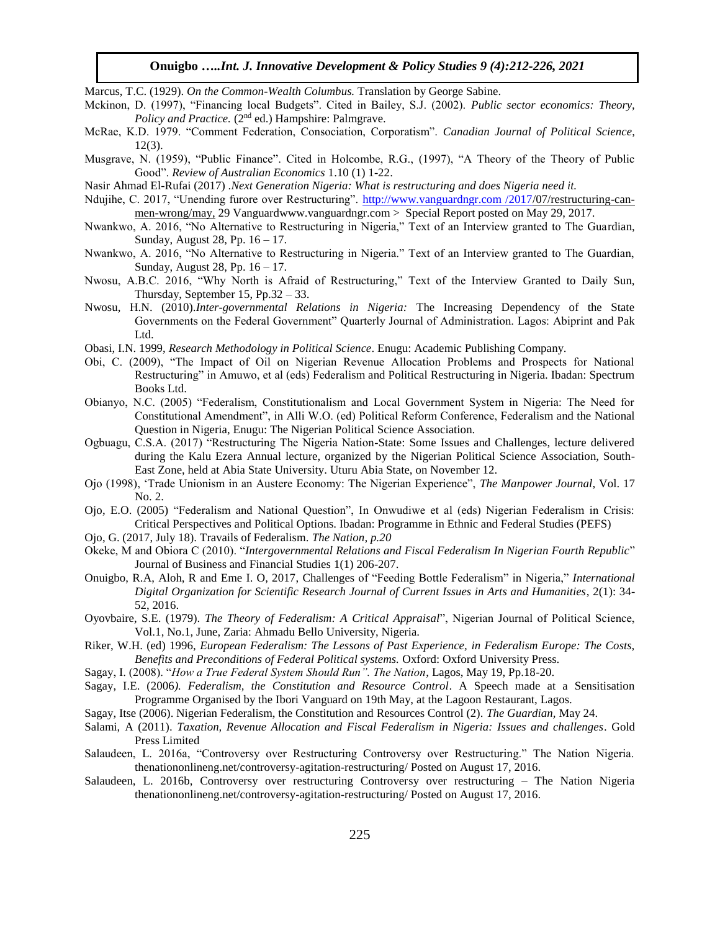Marcus, T.C. (1929). *On the Common-Wealth Columbus.* Translation by George Sabine.

- Mckinon, D. (1997), "Financing local Budgets". Cited in Bailey, S.J. (2002). *Public sector economics: Theory, Policy and Practice.* (2<sup>nd</sup> ed.) Hampshire: Palmgrave.
- McRae, K.D. 1979. "Comment Federation, Consociation, Corporatism". *Canadian Journal of Political Science*, 12(3).
- Musgrave, N. (1959), "Public Finance". Cited in Holcombe, R.G., (1997), "A Theory of the Theory of Public Good". *Review of Australian Economics* 1.10 (1) 1-22.
- Nasir Ahmad El-Rufai (2017) .*Next Generation Nigeria: What is restructuring and does Nigeria need it.*
- Ndujihe, C. 2017, "Unending furore over Restructuring". http://www.vanguardngr.com /2017/07/restructuring-canmen-wrong/may, 29 Vanguardwww.vanguardngr.com > Special Report posted on May 29, 2017.
- Nwankwo, A. 2016, "No Alternative to Restructuring in Nigeria," Text of an Interview granted to The Guardian, Sunday, August 28, Pp. 16 – 17.
- Nwankwo, A. 2016, "No Alternative to Restructuring in Nigeria." Text of an Interview granted to The Guardian, Sunday, August 28, Pp. 16 – 17.
- Nwosu, A.B.C. 2016, "Why North is Afraid of Restructuring," Text of the Interview Granted to Daily Sun, Thursday, September 15, Pp.32 – 33.
- Nwosu, H.N. (2010).*Inter-governmental Relations in Nigeria:* The Increasing Dependency of the State Governments on the Federal Government" Quarterly Journal of Administration. Lagos: Abiprint and Pak Ltd.
- Obasi, I.N. 1999, *Research Methodology in Political Science*. Enugu: Academic Publishing Company.
- Obi, C. (2009), "The Impact of Oil on Nigerian Revenue Allocation Problems and Prospects for National Restructuring" in Amuwo, et al (eds) Federalism and Political Restructuring in Nigeria. Ibadan: Spectrum Books Ltd.
- Obianyo, N.C. (2005) "Federalism, Constitutionalism and Local Government System in Nigeria: The Need for Constitutional Amendment", in Alli W.O. (ed) Political Reform Conference, Federalism and the National Question in Nigeria, Enugu: The Nigerian Political Science Association.
- Ogbuagu, C.S.A. (2017) "Restructuring The Nigeria Nation-State: Some Issues and Challenges, lecture delivered during the Kalu Ezera Annual lecture, organized by the Nigerian Political Science Association, South-East Zone, held at Abia State University. Uturu Abia State, on November 12.
- Ojo (1998), 'Trade Unionism in an Austere Economy: The Nigerian Experience", *The Manpower Journal*, Vol. 17 No. 2.
- Ojo, E.O. (2005) "Federalism and National Question", In Onwudiwe et al (eds) Nigerian Federalism in Crisis: Critical Perspectives and Political Options. Ibadan: Programme in Ethnic and Federal Studies (PEFS)
- Ojo, G. (2017, July 18). Travails of Federalism. *The Nation, p.20*
- Okeke, M and Obiora C (2010). "*Intergovernmental Relations and Fiscal Federalism In Nigerian Fourth Republic*" Journal of Business and Financial Studies 1(1) 206-207.
- Onuigbo, R.A, Aloh, R and Eme I. O, 2017, Challenges of "Feeding Bottle Federalism" in Nigeria," *International Digital Organization for Scientific Research Journal of Current Issues in Arts and Humanities*, 2(1): 34- 52, 2016.
- Oyovbaire, S.E. (1979). *The Theory of Federalism: A Critical Appraisal*", Nigerian Journal of Political Science, Vol.1, No.1, June, Zaria: Ahmadu Bello University, Nigeria.
- Riker, W.H. (ed) 1996, *European Federalism: The Lessons of Past Experience, in Federalism Europe: The Costs, Benefits and Preconditions of Federal Political systems.* Oxford: Oxford University Press.
- Sagay, I. (2008). "*How a True Federal System Should Run". The Nation*, Lagos, May 19, Pp.18-20.
- Sagay, I.E. (2006*). Federalism, the Constitution and Resource Control*. A Speech made at a Sensitisation Programme Organised by the Ibori Vanguard on 19th May, at the Lagoon Restaurant, Lagos.
- Sagay, Itse (2006). Nigerian Federalism, the Constitution and Resources Control (2). *The Guardian,* May 24.
- Salami, A (2011). *Taxation, Revenue Allocation and Fiscal Federalism in Nigeria: Issues and challenges*. Gold Press Limited
- Salaudeen, L. 2016a, "Controversy over Restructuring Controversy over Restructuring." The Nation Nigeria. thenationonlineng.net/controversy-agitation-restructuring/ Posted on August 17, 2016.
- Salaudeen, L. 2016b, Controversy over restructuring Controversy over restructuring The Nation Nigeria thenationonlineng.net/controversy-agitation-restructuring/ Posted on August 17, 2016.